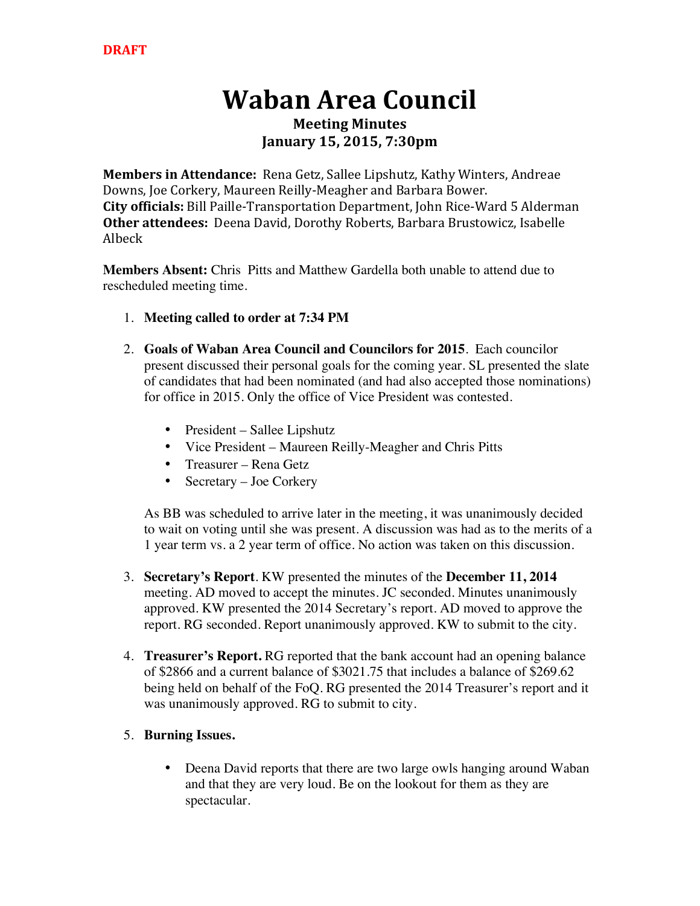# **Waban Area Council**

### **Meeting Minutes January 15, 2015, 7:30pm**

**Members in Attendance:** Rena Getz, Sallee Lipshutz, Kathy Winters, Andreae Downs, Joe Corkery, Maureen Reilly-Meagher and Barbara Bower. **City officials:** Bill Paille-Transportation Department, John Rice-Ward 5 Alderman **Other attendees:** Deena David, Dorothy Roberts, Barbara Brustowicz, Isabelle Albeck

**Members Absent:** Chris Pitts and Matthew Gardella both unable to attend due to rescheduled meeting time.

- 1. **Meeting called to order at 7:34 PM**
- 2. **Goals of Waban Area Council and Councilors for 2015**. Each councilor present discussed their personal goals for the coming year. SL presented the slate of candidates that had been nominated (and had also accepted those nominations) for office in 2015. Only the office of Vice President was contested.
	- President Sallee Lipshutz
	- Vice President Maureen Reilly-Meagher and Chris Pitts
	- Treasurer Rena Getz
	- Secretary Joe Corkery

As BB was scheduled to arrive later in the meeting, it was unanimously decided to wait on voting until she was present. A discussion was had as to the merits of a 1 year term vs. a 2 year term of office. No action was taken on this discussion.

- 3. **Secretary's Report**. KW presented the minutes of the **December 11, 2014** meeting. AD moved to accept the minutes. JC seconded. Minutes unanimously approved. KW presented the 2014 Secretary's report. AD moved to approve the report. RG seconded. Report unanimously approved. KW to submit to the city.
- 4. **Treasurer's Report.** RG reported that the bank account had an opening balance of \$2866 and a current balance of \$3021.75 that includes a balance of \$269.62 being held on behalf of the FoQ. RG presented the 2014 Treasurer's report and it was unanimously approved. RG to submit to city.
- 5. **Burning Issues.**
	- Deena David reports that there are two large owls hanging around Waban and that they are very loud. Be on the lookout for them as they are spectacular.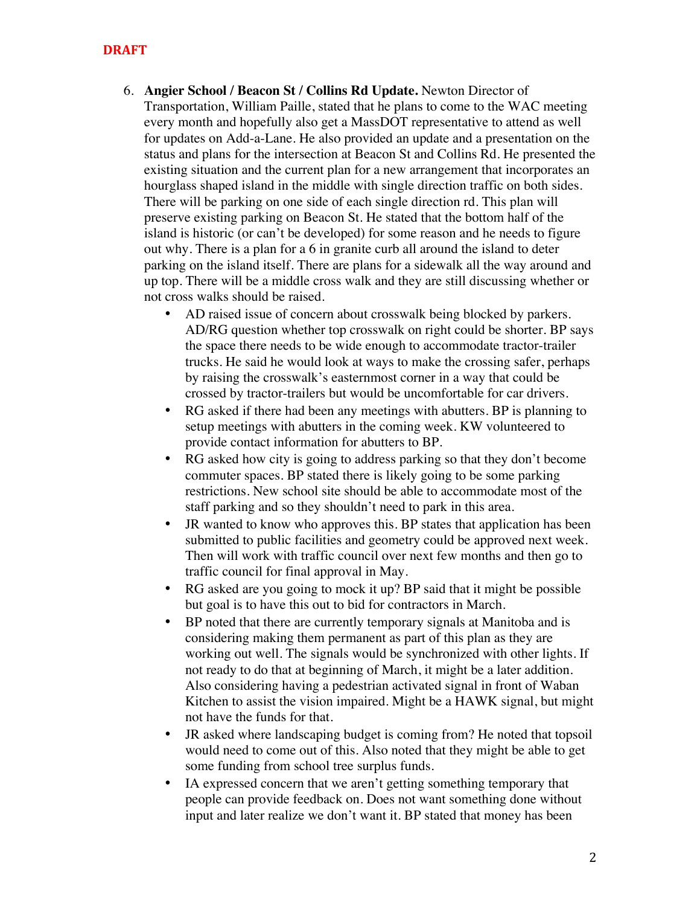#### **DRAFT**

- 6. **Angier School / Beacon St / Collins Rd Update.** Newton Director of Transportation, William Paille, stated that he plans to come to the WAC meeting every month and hopefully also get a MassDOT representative to attend as well for updates on Add-a-Lane. He also provided an update and a presentation on the status and plans for the intersection at Beacon St and Collins Rd. He presented the existing situation and the current plan for a new arrangement that incorporates an hourglass shaped island in the middle with single direction traffic on both sides. There will be parking on one side of each single direction rd. This plan will preserve existing parking on Beacon St. He stated that the bottom half of the island is historic (or can't be developed) for some reason and he needs to figure out why. There is a plan for a 6 in granite curb all around the island to deter parking on the island itself. There are plans for a sidewalk all the way around and up top. There will be a middle cross walk and they are still discussing whether or not cross walks should be raised.
	- AD raised issue of concern about crosswalk being blocked by parkers. AD/RG question whether top crosswalk on right could be shorter. BP says the space there needs to be wide enough to accommodate tractor-trailer trucks. He said he would look at ways to make the crossing safer, perhaps by raising the crosswalk's easternmost corner in a way that could be crossed by tractor-trailers but would be uncomfortable for car drivers.
	- RG asked if there had been any meetings with abutters. BP is planning to setup meetings with abutters in the coming week. KW volunteered to provide contact information for abutters to BP.
	- RG asked how city is going to address parking so that they don't become commuter spaces. BP stated there is likely going to be some parking restrictions. New school site should be able to accommodate most of the staff parking and so they shouldn't need to park in this area.
	- JR wanted to know who approves this. BP states that application has been submitted to public facilities and geometry could be approved next week. Then will work with traffic council over next few months and then go to traffic council for final approval in May.
	- RG asked are you going to mock it up? BP said that it might be possible but goal is to have this out to bid for contractors in March.
	- BP noted that there are currently temporary signals at Manitoba and is considering making them permanent as part of this plan as they are working out well. The signals would be synchronized with other lights. If not ready to do that at beginning of March, it might be a later addition. Also considering having a pedestrian activated signal in front of Waban Kitchen to assist the vision impaired. Might be a HAWK signal, but might not have the funds for that.
	- JR asked where landscaping budget is coming from? He noted that topsoil would need to come out of this. Also noted that they might be able to get some funding from school tree surplus funds.
	- IA expressed concern that we aren't getting something temporary that people can provide feedback on. Does not want something done without input and later realize we don't want it. BP stated that money has been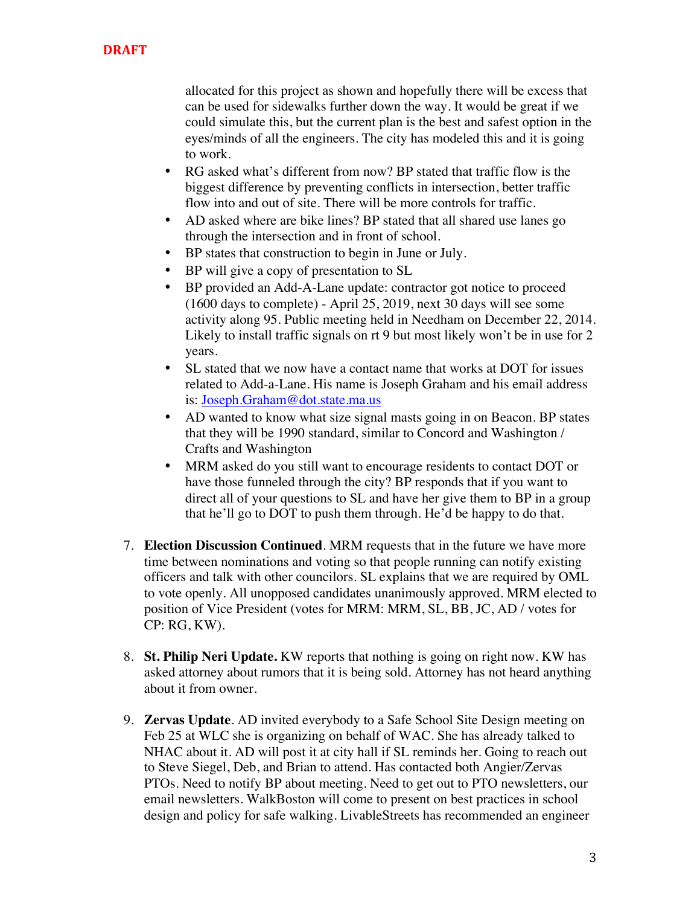allocated for this project as shown and hopefully there will be excess that can be used for sidewalks further down the way. It would be great if we could simulate this, but the current plan is the best and safest option in the eyes/minds of all the engineers. The city has modeled this and it is going to work.

- RG asked what's different from now? BP stated that traffic flow is the biggest difference by preventing conflicts in intersection, better traffic flow into and out of site. There will be more controls for traffic.
- AD asked where are bike lines? BP stated that all shared use lanes go through the intersection and in front of school.
- BP states that construction to begin in June or July.
- BP will give a copy of presentation to SL
- BP provided an Add-A-Lane update: contractor got notice to proceed (1600 days to complete) - April 25, 2019, next 30 days will see some activity along 95. Public meeting held in Needham on December 22, 2014. Likely to install traffic signals on rt 9 but most likely won't be in use for 2 years.
- SL stated that we now have a contact name that works at DOT for issues related to Add-a-Lane. His name is Joseph Graham and his email address is: Joseph.Graham@dot.state.ma.us
- AD wanted to know what size signal masts going in on Beacon. BP states that they will be 1990 standard, similar to Concord and Washington / Crafts and Washington
- MRM asked do you still want to encourage residents to contact DOT or have those funneled through the city? BP responds that if you want to direct all of your questions to SL and have her give them to BP in a group that he'll go to DOT to push them through. He'd be happy to do that.
- 7. **Election Discussion Continued**. MRM requests that in the future we have more time between nominations and voting so that people running can notify existing officers and talk with other councilors. SL explains that we are required by OML to vote openly. All unopposed candidates unanimously approved. MRM elected to position of Vice President (votes for MRM: MRM, SL, BB, JC, AD / votes for CP: RG, KW).
- 8. **St. Philip Neri Update.** KW reports that nothing is going on right now. KW has asked attorney about rumors that it is being sold. Attorney has not heard anything about it from owner.
- 9. **Zervas Update**. AD invited everybody to a Safe School Site Design meeting on Feb 25 at WLC she is organizing on behalf of WAC. She has already talked to NHAC about it. AD will post it at city hall if SL reminds her. Going to reach out to Steve Siegel, Deb, and Brian to attend. Has contacted both Angier/Zervas PTOs. Need to notify BP about meeting. Need to get out to PTO newsletters, our email newsletters. WalkBoston will come to present on best practices in school design and policy for safe walking. LivableStreets has recommended an engineer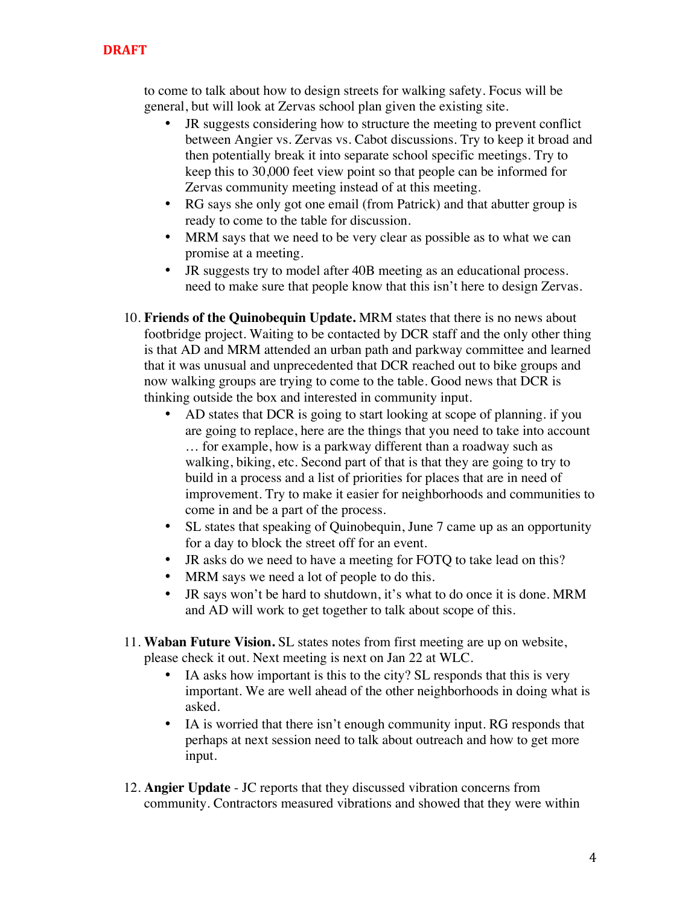### **DRAFT**

to come to talk about how to design streets for walking safety. Focus will be general, but will look at Zervas school plan given the existing site.

- JR suggests considering how to structure the meeting to prevent conflict between Angier vs. Zervas vs. Cabot discussions. Try to keep it broad and then potentially break it into separate school specific meetings. Try to keep this to 30,000 feet view point so that people can be informed for Zervas community meeting instead of at this meeting.
- RG says she only got one email (from Patrick) and that abutter group is ready to come to the table for discussion.
- MRM says that we need to be very clear as possible as to what we can promise at a meeting.
- JR suggests try to model after 40B meeting as an educational process. need to make sure that people know that this isn't here to design Zervas.
- 10. **Friends of the Quinobequin Update.** MRM states that there is no news about footbridge project. Waiting to be contacted by DCR staff and the only other thing is that AD and MRM attended an urban path and parkway committee and learned that it was unusual and unprecedented that DCR reached out to bike groups and now walking groups are trying to come to the table. Good news that DCR is thinking outside the box and interested in community input.
	- AD states that DCR is going to start looking at scope of planning. if you are going to replace, here are the things that you need to take into account … for example, how is a parkway different than a roadway such as walking, biking, etc. Second part of that is that they are going to try to build in a process and a list of priorities for places that are in need of improvement. Try to make it easier for neighborhoods and communities to come in and be a part of the process.
	- SL states that speaking of Quinobequin, June 7 came up as an opportunity for a day to block the street off for an event.
	- JR asks do we need to have a meeting for FOTQ to take lead on this?
	- MRM says we need a lot of people to do this.
	- JR says won't be hard to shutdown, it's what to do once it is done. MRM and AD will work to get together to talk about scope of this.
- 11. **Waban Future Vision.** SL states notes from first meeting are up on website, please check it out. Next meeting is next on Jan 22 at WLC.
	- IA asks how important is this to the city? SL responds that this is very important. We are well ahead of the other neighborhoods in doing what is asked.
	- IA is worried that there isn't enough community input. RG responds that perhaps at next session need to talk about outreach and how to get more input.
- 12. **Angier Update** JC reports that they discussed vibration concerns from community. Contractors measured vibrations and showed that they were within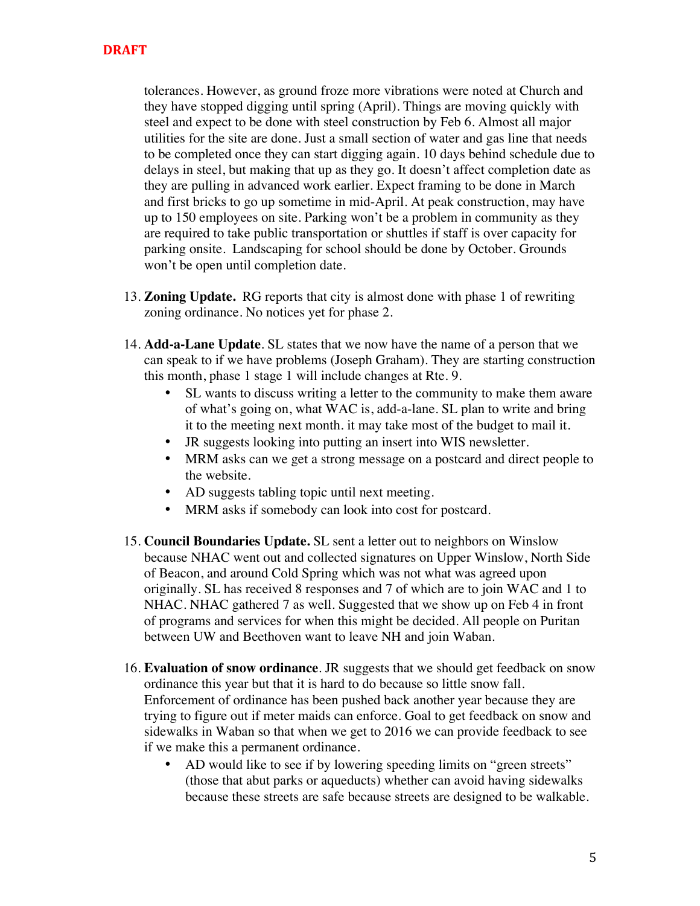tolerances. However, as ground froze more vibrations were noted at Church and they have stopped digging until spring (April). Things are moving quickly with steel and expect to be done with steel construction by Feb 6. Almost all major utilities for the site are done. Just a small section of water and gas line that needs to be completed once they can start digging again. 10 days behind schedule due to delays in steel, but making that up as they go. It doesn't affect completion date as they are pulling in advanced work earlier. Expect framing to be done in March and first bricks to go up sometime in mid-April. At peak construction, may have up to 150 employees on site. Parking won't be a problem in community as they are required to take public transportation or shuttles if staff is over capacity for parking onsite. Landscaping for school should be done by October. Grounds won't be open until completion date.

- 13. **Zoning Update.** RG reports that city is almost done with phase 1 of rewriting zoning ordinance. No notices yet for phase 2.
- 14. **Add-a-Lane Update**. SL states that we now have the name of a person that we can speak to if we have problems (Joseph Graham). They are starting construction this month, phase 1 stage 1 will include changes at Rte. 9.
	- SL wants to discuss writing a letter to the community to make them aware of what's going on, what WAC is, add-a-lane. SL plan to write and bring it to the meeting next month. it may take most of the budget to mail it.
	- JR suggests looking into putting an insert into WIS newsletter.
	- MRM asks can we get a strong message on a postcard and direct people to the website.
	- AD suggests tabling topic until next meeting.
	- MRM asks if somebody can look into cost for postcard.
- 15. **Council Boundaries Update.** SL sent a letter out to neighbors on Winslow because NHAC went out and collected signatures on Upper Winslow, North Side of Beacon, and around Cold Spring which was not what was agreed upon originally. SL has received 8 responses and 7 of which are to join WAC and 1 to NHAC. NHAC gathered 7 as well. Suggested that we show up on Feb 4 in front of programs and services for when this might be decided. All people on Puritan between UW and Beethoven want to leave NH and join Waban.
- 16. **Evaluation of snow ordinance**. JR suggests that we should get feedback on snow ordinance this year but that it is hard to do because so little snow fall. Enforcement of ordinance has been pushed back another year because they are trying to figure out if meter maids can enforce. Goal to get feedback on snow and sidewalks in Waban so that when we get to 2016 we can provide feedback to see if we make this a permanent ordinance.
	- AD would like to see if by lowering speeding limits on "green streets" (those that abut parks or aqueducts) whether can avoid having sidewalks because these streets are safe because streets are designed to be walkable.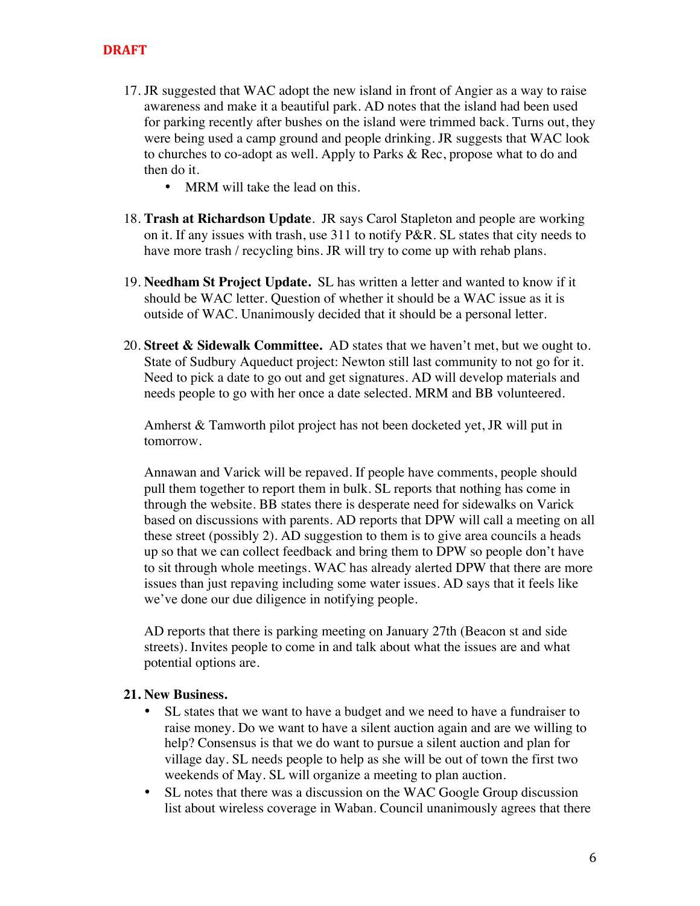- 17. JR suggested that WAC adopt the new island in front of Angier as a way to raise awareness and make it a beautiful park. AD notes that the island had been used for parking recently after bushes on the island were trimmed back. Turns out, they were being used a camp ground and people drinking. JR suggests that WAC look to churches to co-adopt as well. Apply to Parks & Rec, propose what to do and then do it.
	- MRM will take the lead on this.
- 18. **Trash at Richardson Update**. JR says Carol Stapleton and people are working on it. If any issues with trash, use 311 to notify P&R. SL states that city needs to have more trash / recycling bins. JR will try to come up with rehab plans.
- 19. **Needham St Project Update.** SL has written a letter and wanted to know if it should be WAC letter. Question of whether it should be a WAC issue as it is outside of WAC. Unanimously decided that it should be a personal letter.
- 20. **Street & Sidewalk Committee.** AD states that we haven't met, but we ought to. State of Sudbury Aqueduct project: Newton still last community to not go for it. Need to pick a date to go out and get signatures. AD will develop materials and needs people to go with her once a date selected. MRM and BB volunteered.

Amherst & Tamworth pilot project has not been docketed yet, JR will put in tomorrow.

Annawan and Varick will be repaved. If people have comments, people should pull them together to report them in bulk. SL reports that nothing has come in through the website. BB states there is desperate need for sidewalks on Varick based on discussions with parents. AD reports that DPW will call a meeting on all these street (possibly 2). AD suggestion to them is to give area councils a heads up so that we can collect feedback and bring them to DPW so people don't have to sit through whole meetings. WAC has already alerted DPW that there are more issues than just repaving including some water issues. AD says that it feels like we've done our due diligence in notifying people.

AD reports that there is parking meeting on January 27th (Beacon st and side streets). Invites people to come in and talk about what the issues are and what potential options are.

#### **21. New Business.**

- SL states that we want to have a budget and we need to have a fundraiser to raise money. Do we want to have a silent auction again and are we willing to help? Consensus is that we do want to pursue a silent auction and plan for village day. SL needs people to help as she will be out of town the first two weekends of May. SL will organize a meeting to plan auction.
- SL notes that there was a discussion on the WAC Google Group discussion list about wireless coverage in Waban. Council unanimously agrees that there